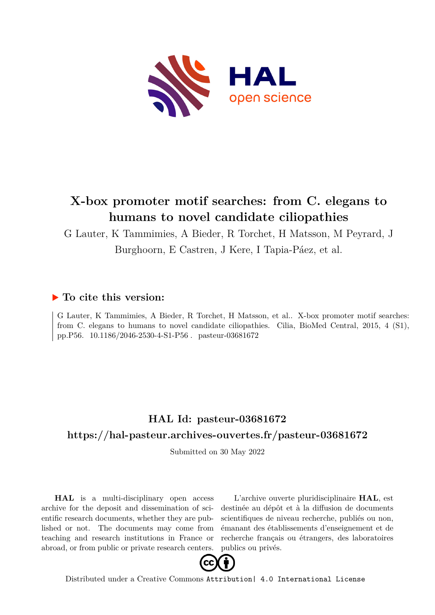

# **X-box promoter motif searches: from C. elegans to humans to novel candidate ciliopathies**

G Lauter, K Tammimies, A Bieder, R Torchet, H Matsson, M Peyrard, J

Burghoorn, E Castren, J Kere, I Tapia-Páez, et al.

## **To cite this version:**

G Lauter, K Tammimies, A Bieder, R Torchet, H Matsson, et al.. X-box promoter motif searches: from C. elegans to humans to novel candidate ciliopathies. Cilia, BioMed Central, 2015, 4 (S1), pp.P56. 10.1186/2046-2530-4-S1-P56. pasteur-03681672

## **HAL Id: pasteur-03681672 <https://hal-pasteur.archives-ouvertes.fr/pasteur-03681672>**

Submitted on 30 May 2022

**HAL** is a multi-disciplinary open access archive for the deposit and dissemination of scientific research documents, whether they are published or not. The documents may come from teaching and research institutions in France or abroad, or from public or private research centers.

L'archive ouverte pluridisciplinaire **HAL**, est destinée au dépôt et à la diffusion de documents scientifiques de niveau recherche, publiés ou non, émanant des établissements d'enseignement et de recherche français ou étrangers, des laboratoires publics ou privés.



Distributed under a Creative Commons [Attribution| 4.0 International License](http://creativecommons.org/licenses/by/4.0/)